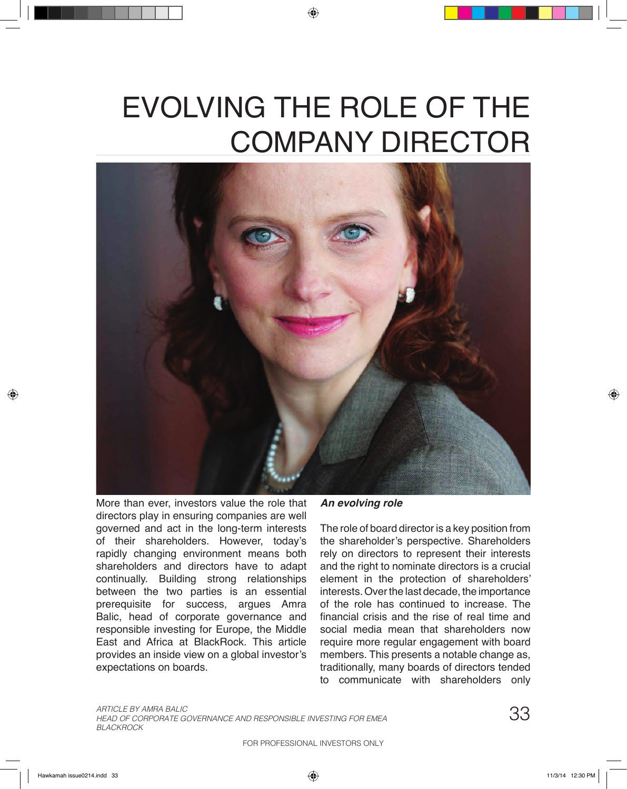# EVOLVING THE ROLE OF THE COMPANY DIRECTOR



More than ever, investors value the role that directors play in ensuring companies are well governed and act in the long-term interests of their shareholders. However, today's rapidly changing environment means both shareholders and directors have to adapt continually. Building strong relationships between the two parties is an essential prerequisite for success, argues Amra Balic, head of corporate governance and responsible investing for Europe, the Middle East and Africa at BlackRock. This article provides an inside view on a global investor's expectations on boards.

*An evolving role*

The role of board director is a key position from the shareholder's perspective. Shareholders rely on directors to represent their interests and the right to nominate directors is a crucial element in the protection of shareholders' interests. Over the last decade, the importance of the role has continued to increase. The financial crisis and the rise of real time and social media mean that shareholders now require more regular engagement with board members. This presents a notable change as, traditionally, many boards of directors tended to communicate with shareholders only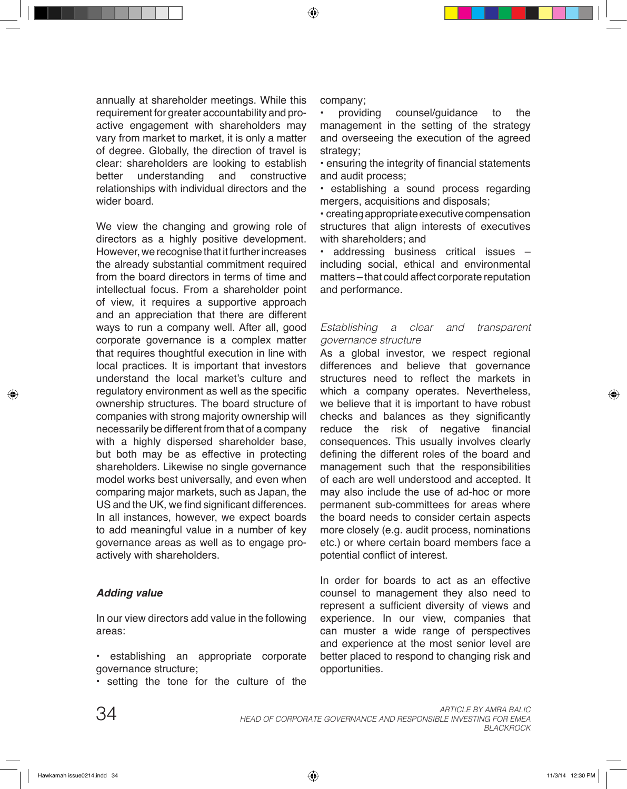annually at shareholder meetings. While this requirement for greater accountability and proactive engagement with shareholders may vary from market to market, it is only a matter of degree. Globally, the direction of travel is clear: shareholders are looking to establish<br>better understanding and constructive better understanding and constructive relationships with individual directors and the wider board.

We view the changing and growing role of directors as a highly positive development. However, we recognise that it further increases the already substantial commitment required from the board directors in terms of time and intellectual focus. From a shareholder point of view, it requires a supportive approach and an appreciation that there are different ways to run a company well. After all, good corporate governance is a complex matter that requires thoughtful execution in line with local practices. It is important that investors understand the local market's culture and regulatory environment as well as the specific ownership structures. The board structure of companies with strong majority ownership will necessarily be different from that of a company with a highly dispersed shareholder base, but both may be as effective in protecting shareholders. Likewise no single governance model works best universally, and even when comparing major markets, such as Japan, the US and the UK, we find significant differences. In all instances, however, we expect boards to add meaningful value in a number of key governance areas as well as to engage proactively with shareholders.

### *Adding value*

In our view directors add value in the following areas:

- establishing an appropriate corporate governance structure;
- setting the tone for the culture of the

company;

• providing counsel/guidance to the management in the setting of the strategy and overseeing the execution of the agreed strategy;

• ensuring the integrity of financial statements and audit process;

• establishing a sound process regarding mergers, acquisitions and disposals;

• creating appropriate executive compensation structures that align interests of executives with shareholders; and

• addressing business critical issues – including social, ethical and environmental matters – that could affect corporate reputation and performance.

#### *Establishing a clear and transparent governance structure*

As a global investor, we respect regional differences and believe that governance structures need to reflect the markets in which a company operates. Nevertheless, we believe that it is important to have robust checks and balances as they significantly reduce the risk of negative financial consequences. This usually involves clearly defining the different roles of the board and management such that the responsibilities of each are well understood and accepted. It may also include the use of ad-hoc or more permanent sub-committees for areas where the board needs to consider certain aspects more closely (e.g. audit process, nominations etc.) or where certain board members face a potential conflict of interest.

In order for boards to act as an effective counsel to management they also need to represent a sufficient diversity of views and experience. In our view, companies that can muster a wide range of perspectives and experience at the most senior level are better placed to respond to changing risk and opportunities.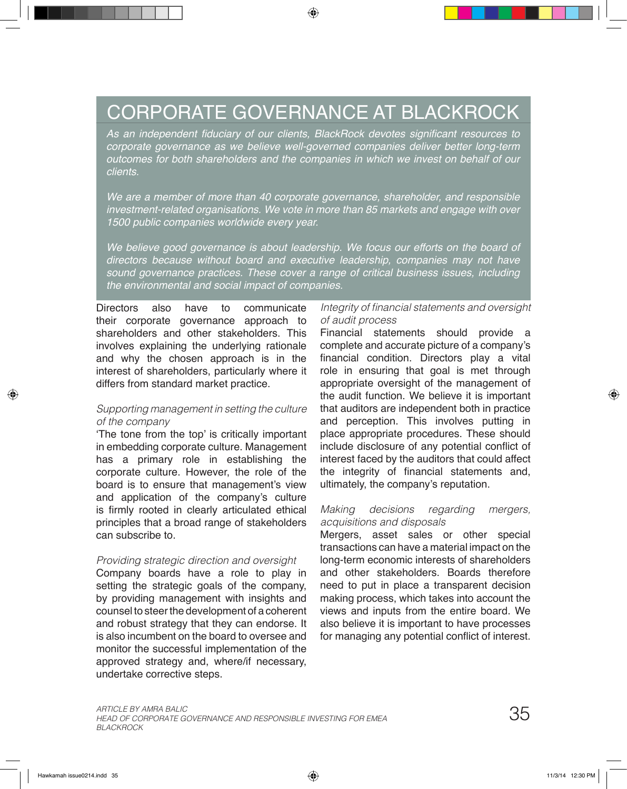## CORPORATE GOVERNANCE AT BLACKROCK

As an independent fiduciary of our clients, BlackRock devotes significant resources to *corporate governance as we believe well-governed companies deliver better long-term outcomes for both shareholders and the companies in which we invest on behalf of our clients.* 

*We are a member of more than 40 corporate governance, shareholder, and responsible investment-related organisations. We vote in more than 85 markets and engage with over 1500 public companies worldwide every year.*

*We believe good governance is about leadership. We focus our efforts on the board of directors because without board and executive leadership, companies may not have sound governance practices. These cover a range of critical business issues, including the environmental and social impact of companies.*

Directors also have to communicate their corporate governance approach to shareholders and other stakeholders. This involves explaining the underlying rationale and why the chosen approach is in the interest of shareholders, particularly where it differs from standard market practice.

#### *Supporting management in setting the culture of the company*

'The tone from the top' is critically important in embedding corporate culture. Management has a primary role in establishing the corporate culture. However, the role of the board is to ensure that management's view and application of the company's culture is firmly rooted in clearly articulated ethical principles that a broad range of stakeholders can subscribe to.

#### *Providing strategic direction and oversight*

Company boards have a role to play in setting the strategic goals of the company, by providing management with insights and counsel to steer the development of a coherent and robust strategy that they can endorse. It is also incumbent on the board to oversee and monitor the successful implementation of the approved strategy and, where/if necessary, undertake corrective steps.

#### Integrity of financial statements and oversight *of audit process*

Financial statements should provide a complete and accurate picture of a company's financial condition. Directors play a vital role in ensuring that goal is met through appropriate oversight of the management of the audit function. We believe it is important that auditors are independent both in practice and perception. This involves putting in place appropriate procedures. These should include disclosure of any potential conflict of interest faced by the auditors that could affect the integrity of financial statements and, ultimately, the company's reputation.

#### *Making decisions regarding mergers, acquisitions and disposals*

Mergers, asset sales or other special transactions can have a material impact on the long-term economic interests of shareholders and other stakeholders. Boards therefore need to put in place a transparent decision making process, which takes into account the views and inputs from the entire board. We also believe it is important to have processes for managing any potential conflict of interest.